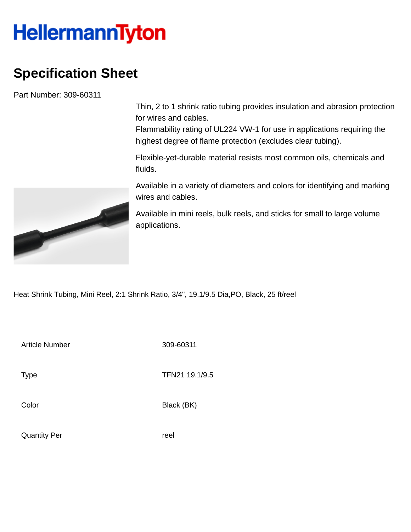## **HellermannTyton**

## **Specification Sheet**

Part Number: 309-60311

Thin, 2 to 1 shrink ratio tubing provides insulation and abrasion protection for wires and cables.

Flammability rating of UL224 VW-1 for use in applications requiring the highest degree of flame protection (excludes clear tubing).

Flexible-yet-durable material resists most common oils, chemicals and fluids.

Available in a variety of diameters and colors for identifying and marking wires and cables.

Available in mini reels, bulk reels, and sticks for small to large volume applications.

Heat Shrink Tubing, Mini Reel, 2:1 Shrink Ratio, 3/4", 19.1/9.5 Dia,PO, Black, 25 ft/reel

Article Number 309-60311

Type **TFN21 19.1/9.5** 

Color Black (BK)

Quantity Per **reel** 

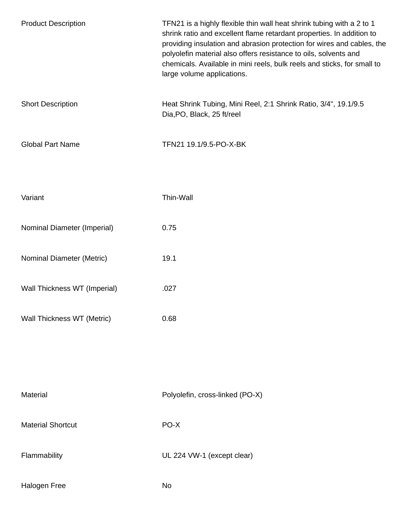| <b>Product Description</b>   | TFN21 is a highly flexible thin wall heat shrink tubing with a 2 to 1<br>shrink ratio and excellent flame retardant properties. In addition to<br>providing insulation and abrasion protection for wires and cables, the<br>polyolefin material also offers resistance to oils, solvents and<br>chemicals. Available in mini reels, bulk reels and sticks, for small to<br>large volume applications. |
|------------------------------|-------------------------------------------------------------------------------------------------------------------------------------------------------------------------------------------------------------------------------------------------------------------------------------------------------------------------------------------------------------------------------------------------------|
| <b>Short Description</b>     | Heat Shrink Tubing, Mini Reel, 2:1 Shrink Ratio, 3/4", 19.1/9.5<br>Dia, PO, Black, 25 ft/reel                                                                                                                                                                                                                                                                                                         |
| <b>Global Part Name</b>      | TFN21 19.1/9.5-PO-X-BK                                                                                                                                                                                                                                                                                                                                                                                |
| Variant                      | Thin-Wall                                                                                                                                                                                                                                                                                                                                                                                             |
| Nominal Diameter (Imperial)  | 0.75                                                                                                                                                                                                                                                                                                                                                                                                  |
| Nominal Diameter (Metric)    | 19.1                                                                                                                                                                                                                                                                                                                                                                                                  |
| Wall Thickness WT (Imperial) | .027                                                                                                                                                                                                                                                                                                                                                                                                  |
| Wall Thickness WT (Metric)   | 0.68                                                                                                                                                                                                                                                                                                                                                                                                  |
|                              |                                                                                                                                                                                                                                                                                                                                                                                                       |
| Material                     | Polyolefin, cross-linked (PO-X)                                                                                                                                                                                                                                                                                                                                                                       |
| <b>Material Shortcut</b>     | PO-X                                                                                                                                                                                                                                                                                                                                                                                                  |
| Flammability                 | UL 224 VW-1 (except clear)                                                                                                                                                                                                                                                                                                                                                                            |
| Halogen Free                 | No                                                                                                                                                                                                                                                                                                                                                                                                    |